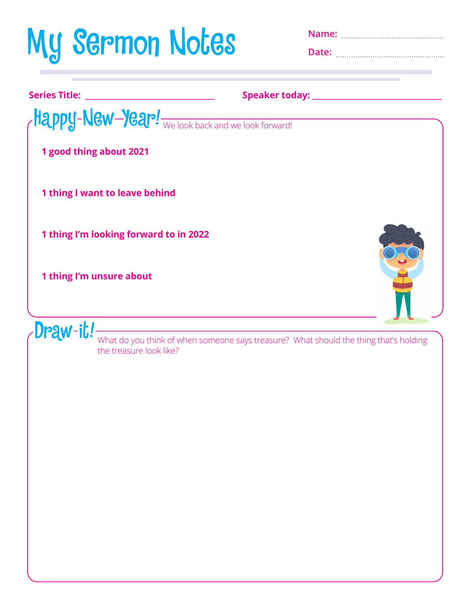## My Sermon Notes **Name:**

**Date:** 

| <b>Series Title:</b><br><u> 1989 - Johann Barn, fransk politik (d. 1989)</u> |                                                   |
|------------------------------------------------------------------------------|---------------------------------------------------|
|                                                                              | Happy-New-Year! We look back and we look forward! |
| 1 good thing about 2021                                                      |                                                   |
| 1 thing I want to leave behind                                               |                                                   |
| 1 thing I'm looking forward to in 2022                                       |                                                   |
| 1 thing I'm unsure about                                                     |                                                   |
| Draw-it!                                                                     |                                                   |
| the treasure look like?                                                      |                                                   |
|                                                                              |                                                   |
|                                                                              |                                                   |
|                                                                              |                                                   |
|                                                                              |                                                   |
|                                                                              |                                                   |
|                                                                              |                                                   |
|                                                                              |                                                   |
|                                                                              |                                                   |